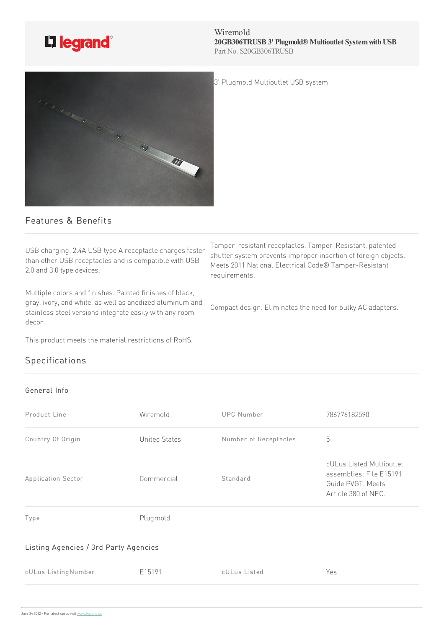

Wiremold **20GB306TRUSB 3' Plugmold® Multioutlet SystemwithUSB** Part No. S20GB306TRUSB

Tamper-resistant receptacles. Tamper-Resistant, patented shutter system prevents improper insertion of foreign objects. Meets 2011 National Electrical Code® Tamper-Resistant

Compact design. Eliminates the need for bulky AC adapters.

3' Plugmold Multioutlet USB system



## Features & Benefits

USB charging. 2.4A USB type A receptacle charges faster than other USB receptacles and is compatible with USB 2.0 and 3.0 type devices.

Multiple colors and finishes. Painted finishes of black, gray, ivory, and white, as well as anodized aluminum and stainless steel versions integrate easily with any room decor.

This product meets the material restrictions of RoHS.

## Specifications

## General Info

| Product Line                          | Wiremold             | <b>UPC Number</b>     | 786776182590                                                                                    |
|---------------------------------------|----------------------|-----------------------|-------------------------------------------------------------------------------------------------|
| Country Of Origin                     | <b>United States</b> | Number of Receptacles | 5                                                                                               |
| Application Sector                    | Commercial           | Standard              | cULus Listed Multioutlet<br>assemblies: File E15191<br>Guide PVGT. Meets<br>Article 380 of NEC. |
| Type                                  | Plugmold             |                       |                                                                                                 |
| Listing Agencies / 3rd Party Agencies |                      |                       |                                                                                                 |
| cULus ListingNumber                   | E15191               | cULus Listed          | Yes                                                                                             |
|                                       |                      |                       |                                                                                                 |

requirements.